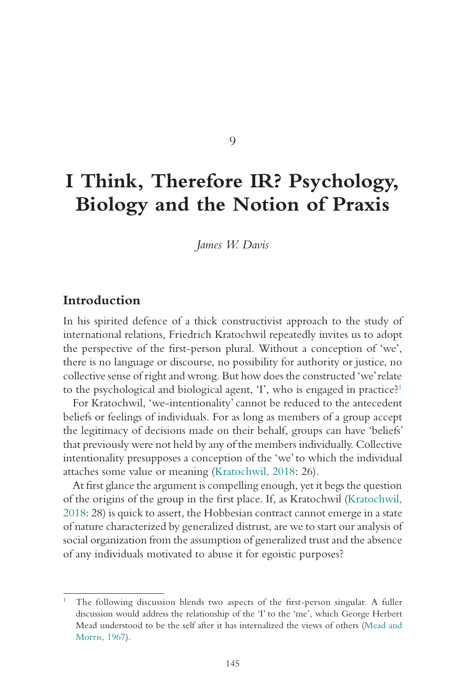#### 9

# **I Think, Therefore IR? Psychology, Biology and the Notion of Praxis**

*James W. Davis*

#### **Introduction**

In his spirited defence of a thick constructivist approach to the study of international relations, Friedrich Kratochwil repeatedly invites us to adopt the perspective of the first-person plural. Without a conception of 'we', there is no language or discourse, no possibility for authority or justice, no collective sense of right and wrong. But how does the constructed 'we' relate to the psychological and biological agent, 'I', who is engaged in practice?<sup>1</sup>

For Kratochwil, 'we-intentionality' cannot be reduced to the antecedent beliefs or feelings of individuals. For as long as members of a group accept the legitimacy of decisions made on their behalf, groups can have 'beliefs' that previously were not held by any of the members individually. Collective intentionality presupposes a conception of the 'we' to which the individual attaches some value or meaning (Kratochwil, 2018: 26).

At first glance the argument is compelling enough, yet it begs the question of the origins of the group in the first place. If, as Kratochwil (Kratochwil, 2018: 28) is quick to assert, the Hobbesian contract cannot emerge in a state of nature characterized by generalized distrust, are we to start our analysis of social organization from the assumption of generalized trust and the absence of any individuals motivated to abuse it for egoistic purposes?

<sup>1</sup> The following discussion blends two aspects of the first-person singular. A fuller discussion would address the relationship of the 'I' to the 'me', which George Herbert Mead understood to be the self after it has internalized the views of others (Mead and Morris, 1967).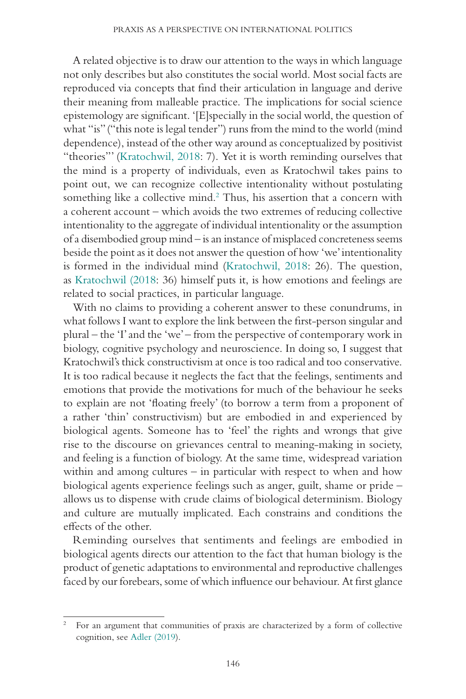A related objective is to draw our attention to the ways in which language not only describes but also constitutes the social world. Most social facts are reproduced via concepts that find their articulation in language and derive their meaning from malleable practice. The implications for social science epistemology are significant. '[E]specially in the social world, the question of what "is" ("this note is legal tender") runs from the mind to the world (mind dependence), instead of the other way around as conceptualized by positivist "theories"' (Kratochwil, 2018: 7). Yet it is worth reminding ourselves that the mind is a property of individuals, even as Kratochwil takes pains to point out, we can recognize collective intentionality without postulating something like a collective mind.<sup>2</sup> Thus, his assertion that a concern with a coherent account – which avoids the two extremes of reducing collective intentionality to the aggregate of individual intentionality or the assumption of a disembodied group mind – is an instance of misplaced concreteness seems beside the point as it does not answer the question of how 'we' intentionality is formed in the individual mind (Kratochwil, 2018: 26). The question, as Kratochwil (2018: 36) himself puts it, is how emotions and feelings are related to social practices, in particular language.

With no claims to providing a coherent answer to these conundrums, in what follows I want to explore the link between the first-person singular and plural – the 'I' and the 'we' – from the perspective of contemporary work in biology, cognitive psychology and neuroscience. In doing so, I suggest that Kratochwil's thick constructivism at once is too radical and too conservative. It is too radical because it neglects the fact that the feelings, sentiments and emotions that provide the motivations for much of the behaviour he seeks to explain are not 'floating freely' (to borrow a term from a proponent of a rather 'thin' constructivism) but are embodied in and experienced by biological agents. Someone has to 'feel' the rights and wrongs that give rise to the discourse on grievances central to meaning-making in society, and feeling is a function of biology. At the same time, widespread variation within and among cultures – in particular with respect to when and how biological agents experience feelings such as anger, guilt, shame or pride – allows us to dispense with crude claims of biological determinism. Biology and culture are mutually implicated. Each constrains and conditions the effects of the other.

Reminding ourselves that sentiments and feelings are embodied in biological agents directs our attention to the fact that human biology is the product of genetic adaptations to environmental and reproductive challenges faced by our forebears, some of which influence our behaviour. At first glance

<sup>2</sup> For an argument that communities of praxis are characterized by a form of collective cognition, see Adler (2019).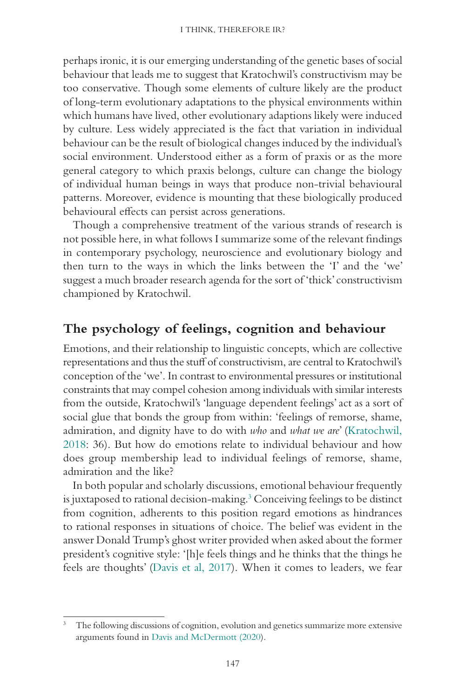perhaps ironic, it is our emerging understanding of the genetic bases of social behaviour that leads me to suggest that Kratochwil's constructivism may be too conservative. Though some elements of culture likely are the product of long-term evolutionary adaptations to the physical environments within which humans have lived, other evolutionary adaptions likely were induced by culture. Less widely appreciated is the fact that variation in individual behaviour can be the result of biological changes induced by the individual's social environment. Understood either as a form of praxis or as the more general category to which praxis belongs, culture can change the biology of individual human beings in ways that produce non-trivial behavioural patterns. Moreover, evidence is mounting that these biologically produced behavioural effects can persist across generations.

Though a comprehensive treatment of the various strands of research is not possible here, in what follows I summarize some of the relevant findings in contemporary psychology, neuroscience and evolutionary biology and then turn to the ways in which the links between the 'I' and the 'we' suggest a much broader research agenda for the sort of 'thick' constructivism championed by Kratochwil.

## **The psychology of feelings, cognition and behaviour**

Emotions, and their relationship to linguistic concepts, which are collective representations and thus the stuff of constructivism, are central to Kratochwil's conception of the 'we'. In contrast to environmental pressures or institutional constraints that may compel cohesion among individuals with similar interests from the outside, Kratochwil's 'language dependent feelings' act as a sort of social glue that bonds the group from within: 'feelings of remorse, shame, admiration, and dignity have to do with *who* and *what we are*' (Kratochwil, 2018: 36). But how do emotions relate to individual behaviour and how does group membership lead to individual feelings of remorse, shame, admiration and the like?

In both popular and scholarly discussions, emotional behaviour frequently is juxtaposed to rational decision-making.<sup>3</sup> Conceiving feelings to be distinct from cognition, adherents to this position regard emotions as hindrances to rational responses in situations of choice. The belief was evident in the answer Donald Trump's ghost writer provided when asked about the former president's cognitive style: '[h]e feels things and he thinks that the things he feels are thoughts' (Davis et al, 2017). When it comes to leaders, we fear

<sup>3</sup> The following discussions of cognition, evolution and genetics summarize more extensive arguments found in Davis and McDermott (2020).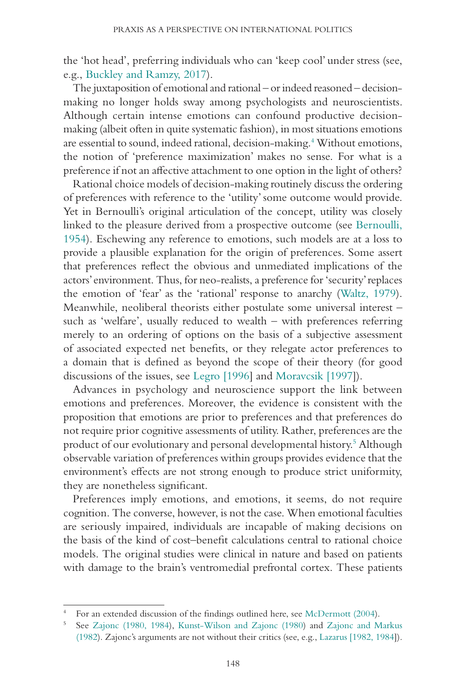the 'hot head', preferring individuals who can 'keep cool' under stress (see, e.g., Buckley and Ramzy, 2017).

The juxtaposition of emotional and rational – or indeed reasoned – decisionmaking no longer holds sway among psychologists and neuroscientists. Although certain intense emotions can confound productive decisionmaking (albeit often in quite systematic fashion), in most situations emotions are essential to sound, indeed rational, decision-making.<sup>4</sup> Without emotions, the notion of 'preference maximization' makes no sense. For what is a preference if not an affective attachment to one option in the light of others?

Rational choice models of decision-making routinely discuss the ordering of preferences with reference to the 'utility' some outcome would provide. Yet in Bernoulli's original articulation of the concept, utility was closely linked to the pleasure derived from a prospective outcome (see Bernoulli, 1954). Eschewing any reference to emotions, such models are at a loss to provide a plausible explanation for the origin of preferences. Some assert that preferences reflect the obvious and unmediated implications of the actors' environment. Thus, for neo-realists, a preference for 'security' replaces the emotion of 'fear' as the 'rational' response to anarchy (Waltz, 1979). Meanwhile, neoliberal theorists either postulate some universal interest – such as 'welfare', usually reduced to wealth – with preferences referring merely to an ordering of options on the basis of a subjective assessment of associated expected net benefits, or they relegate actor preferences to a domain that is defined as beyond the scope of their theory (for good discussions of the issues, see Legro [1996] and Moravcsik [1997]).

Advances in psychology and neuroscience support the link between emotions and preferences. Moreover, the evidence is consistent with the proposition that emotions are prior to preferences and that preferences do not require prior cognitive assessments of utility. Rather, preferences are the product of our evolutionary and personal developmental history.5 Although observable variation of preferences within groups provides evidence that the environment's effects are not strong enough to produce strict uniformity, they are nonetheless significant.

Preferences imply emotions, and emotions, it seems, do not require cognition. The converse, however, is not the case. When emotional faculties are seriously impaired, individuals are incapable of making decisions on the basis of the kind of cost–benefit calculations central to rational choice models. The original studies were clinical in nature and based on patients with damage to the brain's ventromedial prefrontal cortex. These patients

<sup>4</sup> For an extended discussion of the findings outlined here, see McDermott (2004).

<sup>5</sup> See Zajonc (1980, 1984), Kunst-Wilson and Zajonc (1980) and Zajonc and Markus (1982). Zajonc's arguments are not without their critics (see, e.g., Lazarus [1982, 1984]).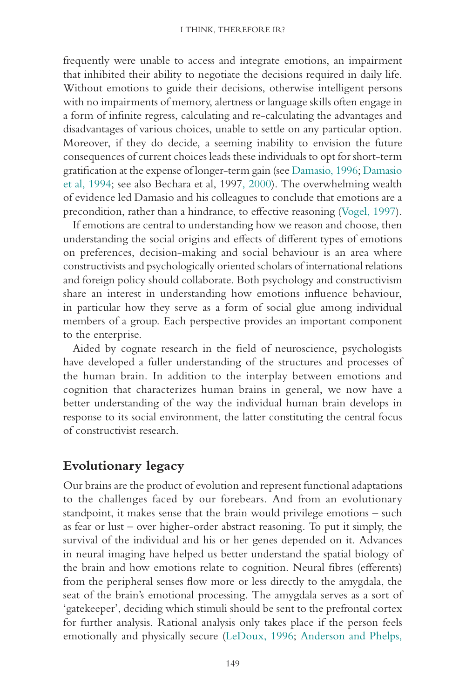frequently were unable to access and integrate emotions, an impairment that inhibited their ability to negotiate the decisions required in daily life. Without emotions to guide their decisions, otherwise intelligent persons with no impairments of memory, alertness or language skills often engage in a form of infinite regress, calculating and re-calculating the advantages and disadvantages of various choices, unable to settle on any particular option. Moreover, if they do decide, a seeming inability to envision the future consequences of current choices leads these individuals to opt for short-term gratification at the expense of longer-term gain (see Damasio, 1996; Damasio et al, 1994; see also Bechara et al, 1997, 2000). The overwhelming wealth of evidence led Damasio and his colleagues to conclude that emotions are a precondition, rather than a hindrance, to effective reasoning (Vogel, 1997).

If emotions are central to understanding how we reason and choose, then understanding the social origins and effects of different types of emotions on preferences, decision-making and social behaviour is an area where constructivists and psychologically oriented scholars of international relations and foreign policy should collaborate. Both psychology and constructivism share an interest in understanding how emotions influence behaviour, in particular how they serve as a form of social glue among individual members of a group. Each perspective provides an important component to the enterprise.

Aided by cognate research in the field of neuroscience, psychologists have developed a fuller understanding of the structures and processes of the human brain. In addition to the interplay between emotions and cognition that characterizes human brains in general, we now have a better understanding of the way the individual human brain develops in response to its social environment, the latter constituting the central focus of constructivist research.

### **Evolutionary legacy**

Our brains are the product of evolution and represent functional adaptations to the challenges faced by our forebears. And from an evolutionary standpoint, it makes sense that the brain would privilege emotions – such as fear or lust – over higher-order abstract reasoning. To put it simply, the survival of the individual and his or her genes depended on it. Advances in neural imaging have helped us better understand the spatial biology of the brain and how emotions relate to cognition. Neural fibres (efferents) from the peripheral senses flow more or less directly to the amygdala, the seat of the brain's emotional processing. The amygdala serves as a sort of 'gatekeeper', deciding which stimuli should be sent to the prefrontal cortex for further analysis. Rational analysis only takes place if the person feels emotionally and physically secure (LeDoux, 1996; Anderson and Phelps,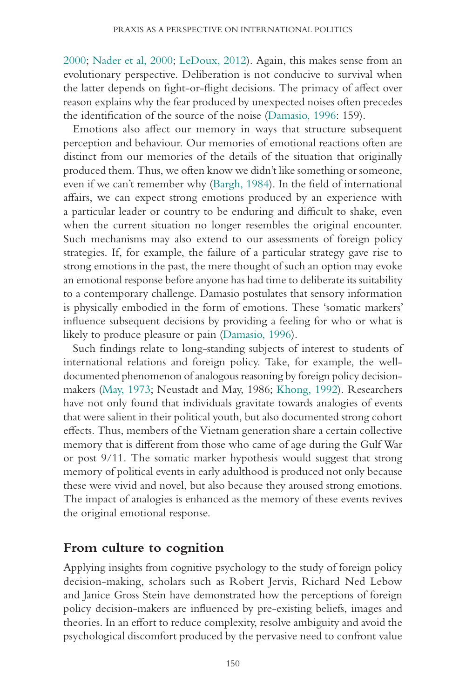2000; Nader et al, 2000; LeDoux, 2012). Again, this makes sense from an evolutionary perspective. Deliberation is not conducive to survival when the latter depends on fight-or-flight decisions. The primacy of affect over reason explains why the fear produced by unexpected noises often precedes the identification of the source of the noise (Damasio, 1996: 159).

Emotions also affect our memory in ways that structure subsequent perception and behaviour. Our memories of emotional reactions often are distinct from our memories of the details of the situation that originally produced them. Thus, we often know we didn't like something or someone, even if we can't remember why (Bargh, 1984). In the field of international affairs, we can expect strong emotions produced by an experience with a particular leader or country to be enduring and difficult to shake, even when the current situation no longer resembles the original encounter. Such mechanisms may also extend to our assessments of foreign policy strategies. If, for example, the failure of a particular strategy gave rise to strong emotions in the past, the mere thought of such an option may evoke an emotional response before anyone has had time to deliberate its suitability to a contemporary challenge. Damasio postulates that sensory information is physically embodied in the form of emotions. These 'somatic markers' influence subsequent decisions by providing a feeling for who or what is likely to produce pleasure or pain (Damasio, 1996).

Such findings relate to long-standing subjects of interest to students of international relations and foreign policy. Take, for example, the welldocumented phenomenon of analogous reasoning by foreign policy decisionmakers (May, 1973; Neustadt and May, 1986; Khong, 1992). Researchers have not only found that individuals gravitate towards analogies of events that were salient in their political youth, but also documented strong cohort effects. Thus, members of the Vietnam generation share a certain collective memory that is different from those who came of age during the Gulf War or post 9/11. The somatic marker hypothesis would suggest that strong memory of political events in early adulthood is produced not only because these were vivid and novel, but also because they aroused strong emotions. The impact of analogies is enhanced as the memory of these events revives the original emotional response.

### **From culture to cognition**

Applying insights from cognitive psychology to the study of foreign policy decision-making, scholars such as Robert Jervis, Richard Ned Lebow and Janice Gross Stein have demonstrated how the perceptions of foreign policy decision-makers are influenced by pre-existing beliefs, images and theories. In an effort to reduce complexity, resolve ambiguity and avoid the psychological discomfort produced by the pervasive need to confront value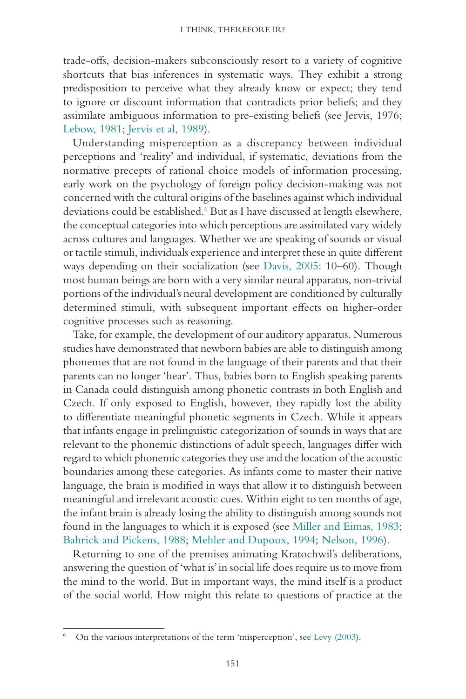trade-offs, decision-makers subconsciously resort to a variety of cognitive shortcuts that bias inferences in systematic ways. They exhibit a strong predisposition to perceive what they already know or expect; they tend to ignore or discount information that contradicts prior beliefs; and they assimilate ambiguous information to pre-existing beliefs (see Jervis, 1976; Lebow, 1981; Jervis et al, 1989).

Understanding misperception as a discrepancy between individual perceptions and 'reality' and individual, if systematic, deviations from the normative precepts of rational choice models of information processing, early work on the psychology of foreign policy decision-making was not concerned with the cultural origins of the baselines against which individual deviations could be established.<sup>6</sup> But as I have discussed at length elsewhere, the conceptual categories into which perceptions are assimilated vary widely across cultures and languages. Whether we are speaking of sounds or visual or tactile stimuli, individuals experience and interpret these in quite different ways depending on their socialization (see Davis, 2005: 10–60). Though most human beings are born with a very similar neural apparatus, non-trivial portions of the individual's neural development are conditioned by culturally determined stimuli, with subsequent important effects on higher-order cognitive processes such as reasoning.

Take, for example, the development of our auditory apparatus. Numerous studies have demonstrated that newborn babies are able to distinguish among phonemes that are not found in the language of their parents and that their parents can no longer 'hear'. Thus, babies born to English speaking parents in Canada could distinguish among phonetic contrasts in both English and Czech. If only exposed to English, however, they rapidly lost the ability to differentiate meaningful phonetic segments in Czech. While it appears that infants engage in prelinguistic categorization of sounds in ways that are relevant to the phonemic distinctions of adult speech, languages differ with regard to which phonemic categories they use and the location of the acoustic boundaries among these categories. As infants come to master their native language, the brain is modified in ways that allow it to distinguish between meaningful and irrelevant acoustic cues. Within eight to ten months of age, the infant brain is already losing the ability to distinguish among sounds not found in the languages to which it is exposed (see Miller and Eimas, 1983; Bahrick and Pickens, 1988; Mehler and Dupoux, 1994; Nelson, 1996).

Returning to one of the premises animating Kratochwil's deliberations, answering the question of 'what is' in social life does require us to move from the mind to the world. But in important ways, the mind itself is a product of the social world. How might this relate to questions of practice at the

 $6$  On the various interpretations of the term 'misperception', see Levy (2003).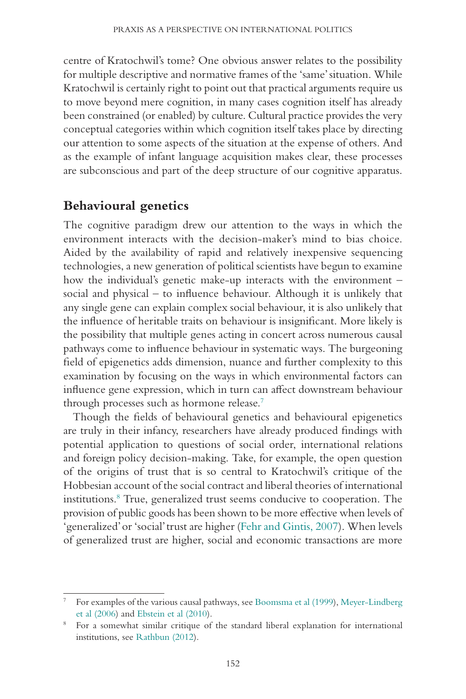centre of Kratochwil's tome? One obvious answer relates to the possibility for multiple descriptive and normative frames of the 'same' situation. While Kratochwil is certainly right to point out that practical arguments require us to move beyond mere cognition, in many cases cognition itself has already been constrained (or enabled) by culture. Cultural practice provides the very conceptual categories within which cognition itself takes place by directing our attention to some aspects of the situation at the expense of others. And as the example of infant language acquisition makes clear, these processes are subconscious and part of the deep structure of our cognitive apparatus.

# **Behavioural genetics**

The cognitive paradigm drew our attention to the ways in which the environment interacts with the decision-maker's mind to bias choice. Aided by the availability of rapid and relatively inexpensive sequencing technologies, a new generation of political scientists have begun to examine how the individual's genetic make-up interacts with the environment – social and physical – to influence behaviour. Although it is unlikely that any single gene can explain complex social behaviour, it is also unlikely that the influence of heritable traits on behaviour is insignificant. More likely is the possibility that multiple genes acting in concert across numerous causal pathways come to influence behaviour in systematic ways. The burgeoning field of epigenetics adds dimension, nuance and further complexity to this examination by focusing on the ways in which environmental factors can influence gene expression, which in turn can affect downstream behaviour through processes such as hormone release.7

Though the fields of behavioural genetics and behavioural epigenetics are truly in their infancy, researchers have already produced findings with potential application to questions of social order, international relations and foreign policy decision-making. Take, for example, the open question of the origins of trust that is so central to Kratochwil's critique of the Hobbesian account of the social contract and liberal theories of international institutions.<sup>8</sup> True, generalized trust seems conducive to cooperation. The provision of public goods has been shown to be more effective when levels of 'generalized' or 'social' trust are higher (Fehr and Gintis, 2007). When levels of generalized trust are higher, social and economic transactions are more

<sup>7</sup> For examples of the various causal pathways, see Boomsma et al (1999), Meyer-Lindberg et al (2006) and Ebstein et al (2010).

<sup>8</sup> For a somewhat similar critique of the standard liberal explanation for international institutions, see Rathbun (2012).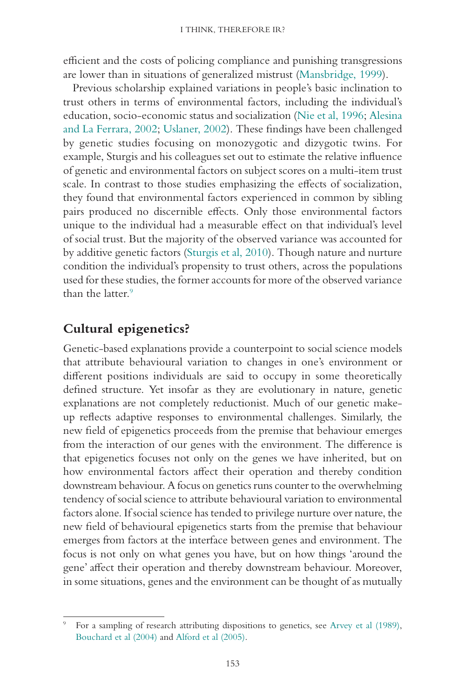efficient and the costs of policing compliance and punishing transgressions are lower than in situations of generalized mistrust (Mansbridge, 1999).

Previous scholarship explained variations in people's basic inclination to trust others in terms of environmental factors, including the individual's education, socio-economic status and socialization (Nie et al, 1996; Alesina and La Ferrara, 2002; Uslaner, 2002). These findings have been challenged by genetic studies focusing on monozygotic and dizygotic twins. For example, Sturgis and his colleagues set out to estimate the relative influence of genetic and environmental factors on subject scores on a multi-item trust scale. In contrast to those studies emphasizing the effects of socialization, they found that environmental factors experienced in common by sibling pairs produced no discernible effects. Only those environmental factors unique to the individual had a measurable effect on that individual's level of social trust. But the majority of the observed variance was accounted for by additive genetic factors (Sturgis et al, 2010). Though nature and nurture condition the individual's propensity to trust others, across the populations used for these studies, the former accounts for more of the observed variance than the latter.<sup>9</sup>

## **Cultural epigenetics?**

Genetic-based explanations provide a counterpoint to social science models that attribute behavioural variation to changes in one's environment or different positions individuals are said to occupy in some theoretically defined structure. Yet insofar as they are evolutionary in nature, genetic explanations are not completely reductionist. Much of our genetic makeup reflects adaptive responses to environmental challenges. Similarly, the new field of epigenetics proceeds from the premise that behaviour emerges from the interaction of our genes with the environment. The difference is that epigenetics focuses not only on the genes we have inherited, but on how environmental factors affect their operation and thereby condition downstream behaviour. A focus on genetics runs counter to the overwhelming tendency of social science to attribute behavioural variation to environmental factors alone. If social science has tended to privilege nurture over nature, the new field of behavioural epigenetics starts from the premise that behaviour emerges from factors at the interface between genes and environment. The focus is not only on what genes you have, but on how things 'around the gene' affect their operation and thereby downstream behaviour. Moreover, in some situations, genes and the environment can be thought of as mutually

<sup>9</sup> For a sampling of research attributing dispositions to genetics, see Arvey et al (1989), Bouchard et al (2004) and Alford et al (2005).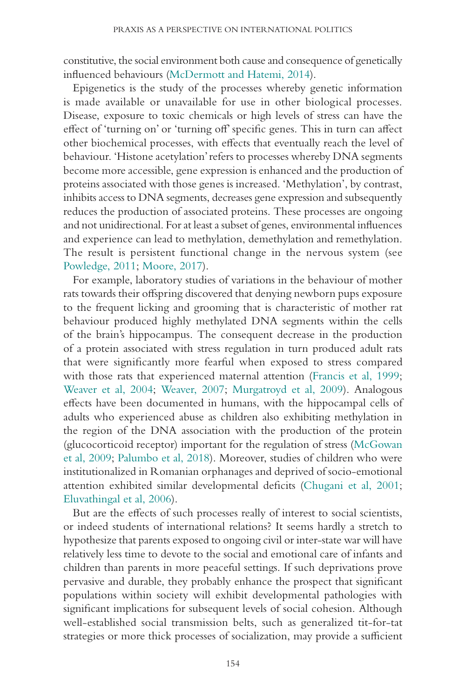constitutive, the social environment both cause and consequence of genetically influenced behaviours (McDermott and Hatemi, 2014).

Epigenetics is the study of the processes whereby genetic information is made available or unavailable for use in other biological processes. Disease, exposure to toxic chemicals or high levels of stress can have the effect of 'turning on' or 'turning off' specific genes. This in turn can affect other biochemical processes, with effects that eventually reach the level of behaviour. 'Histone acetylation' refers to processes whereby DNA segments become more accessible, gene expression is enhanced and the production of proteins associated with those genes is increased. 'Methylation', by contrast, inhibits access to DNA segments, decreases gene expression and subsequently reduces the production of associated proteins. These processes are ongoing and not unidirectional. For at least a subset of genes, environmental influences and experience can lead to methylation, demethylation and remethylation. The result is persistent functional change in the nervous system (see Powledge, 2011; Moore, 2017).

For example, laboratory studies of variations in the behaviour of mother rats towards their offspring discovered that denying newborn pups exposure to the frequent licking and grooming that is characteristic of mother rat behaviour produced highly methylated DNA segments within the cells of the brain's hippocampus. The consequent decrease in the production of a protein associated with stress regulation in turn produced adult rats that were significantly more fearful when exposed to stress compared with those rats that experienced maternal attention (Francis et al, 1999; Weaver et al, 2004; Weaver, 2007; Murgatroyd et al, 2009). Analogous effects have been documented in humans, with the hippocampal cells of adults who experienced abuse as children also exhibiting methylation in the region of the DNA association with the production of the protein (glucocorticoid receptor) important for the regulation of stress (McGowan et al, 2009; Palumbo et al, 2018). Moreover, studies of children who were institutionalized in Romanian orphanages and deprived of socio-emotional attention exhibited similar developmental deficits (Chugani et al, 2001; Eluvathingal et al, 2006).

But are the effects of such processes really of interest to social scientists, or indeed students of international relations? It seems hardly a stretch to hypothesize that parents exposed to ongoing civil or inter-state war will have relatively less time to devote to the social and emotional care of infants and children than parents in more peaceful settings. If such deprivations prove pervasive and durable, they probably enhance the prospect that significant populations within society will exhibit developmental pathologies with significant implications for subsequent levels of social cohesion. Although well-established social transmission belts, such as generalized tit-for-tat strategies or more thick processes of socialization, may provide a sufficient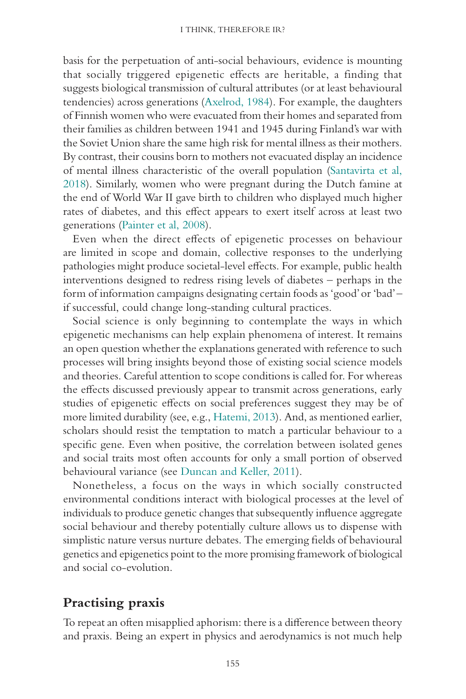basis for the perpetuation of anti-social behaviours, evidence is mounting that socially triggered epigenetic effects are heritable, a finding that suggests biological transmission of cultural attributes (or at least behavioural tendencies) across generations (Axelrod, 1984). For example, the daughters of Finnish women who were evacuated from their homes and separated from their families as children between 1941 and 1945 during Finland's war with the Soviet Union share the same high risk for mental illness as their mothers. By contrast, their cousins born to mothers not evacuated display an incidence of mental illness characteristic of the overall population (Santavirta et al, 2018). Similarly, women who were pregnant during the Dutch famine at the end of World War II gave birth to children who displayed much higher rates of diabetes, and this effect appears to exert itself across at least two generations (Painter et al, 2008).

Even when the direct effects of epigenetic processes on behaviour are limited in scope and domain, collective responses to the underlying pathologies might produce societal-level effects. For example, public health interventions designed to redress rising levels of diabetes – perhaps in the form of information campaigns designating certain foods as 'good' or 'bad' – if successful, could change long-standing cultural practices.

Social science is only beginning to contemplate the ways in which epigenetic mechanisms can help explain phenomena of interest. It remains an open question whether the explanations generated with reference to such processes will bring insights beyond those of existing social science models and theories. Careful attention to scope conditions is called for. For whereas the effects discussed previously appear to transmit across generations, early studies of epigenetic effects on social preferences suggest they may be of more limited durability (see, e.g., Hatemi, 2013). And, as mentioned earlier, scholars should resist the temptation to match a particular behaviour to a specific gene. Even when positive, the correlation between isolated genes and social traits most often accounts for only a small portion of observed behavioural variance (see Duncan and Keller, 2011).

Nonetheless, a focus on the ways in which socially constructed environmental conditions interact with biological processes at the level of individuals to produce genetic changes that subsequently influence aggregate social behaviour and thereby potentially culture allows us to dispense with simplistic nature versus nurture debates. The emerging fields of behavioural genetics and epigenetics point to the more promising framework of biological and social co-evolution.

## **Practising praxis**

To repeat an often misapplied aphorism: there is a difference between theory and praxis. Being an expert in physics and aerodynamics is not much help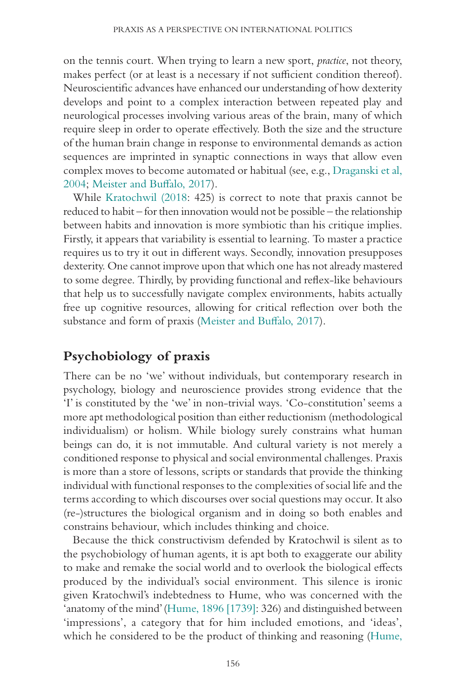on the tennis court. When trying to learn a new sport, *practice*, not theory, makes perfect (or at least is a necessary if not sufficient condition thereof). Neuroscientific advances have enhanced our understanding of how dexterity develops and point to a complex interaction between repeated play and neurological processes involving various areas of the brain, many of which require sleep in order to operate effectively. Both the size and the structure of the human brain change in response to environmental demands as action sequences are imprinted in synaptic connections in ways that allow even complex moves to become automated or habitual (see, e.g., Draganski et al, 2004; Meister and Buffalo, 2017).

While Kratochwil (2018: 425) is correct to note that praxis cannot be reduced to habit – for then innovation would not be possible – the relationship between habits and innovation is more symbiotic than his critique implies. Firstly, it appears that variability is essential to learning. To master a practice requires us to try it out in different ways. Secondly, innovation presupposes dexterity. One cannot improve upon that which one has not already mastered to some degree. Thirdly, by providing functional and reflex-like behaviours that help us to successfully navigate complex environments, habits actually free up cognitive resources, allowing for critical reflection over both the substance and form of praxis (Meister and Buffalo, 2017).

# **Psychobiology of praxis**

There can be no 'we' without individuals, but contemporary research in psychology, biology and neuroscience provides strong evidence that the 'I' is constituted by the 'we' in non-trivial ways. 'Co-constitution' seems a more apt methodological position than either reductionism (methodological individualism) or holism. While biology surely constrains what human beings can do, it is not immutable. And cultural variety is not merely a conditioned response to physical and social environmental challenges. Praxis is more than a store of lessons, scripts or standards that provide the thinking individual with functional responses to the complexities of social life and the terms according to which discourses over social questions may occur. It also (re-)structures the biological organism and in doing so both enables and constrains behaviour, which includes thinking and choice.

Because the thick constructivism defended by Kratochwil is silent as to the psychobiology of human agents, it is apt both to exaggerate our ability to make and remake the social world and to overlook the biological effects produced by the individual's social environment. This silence is ironic given Kratochwil's indebtedness to Hume, who was concerned with the 'anatomy of the mind' (Hume, 1896 [1739]: 326) and distinguished between 'impressions', a category that for him included emotions, and 'ideas', which he considered to be the product of thinking and reasoning (Hume,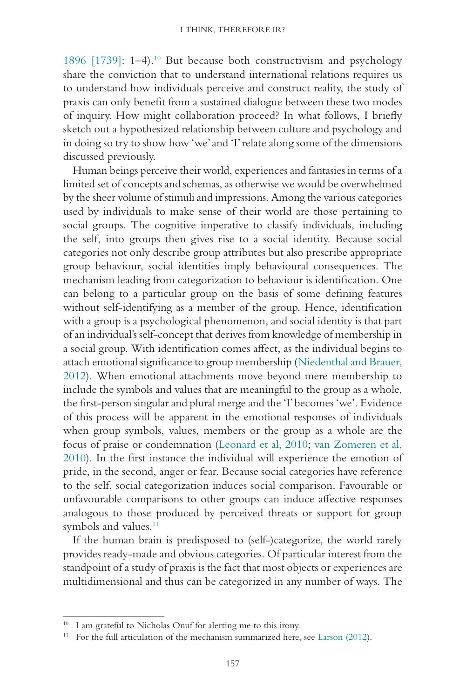1896  $[1739]$ : 1–4).<sup>10</sup> But because both constructivism and psychology share the conviction that to understand international relations requires us to understand how individuals perceive and construct reality, the study of praxis can only benefit from a sustained dialogue between these two modes of inquiry. How might collaboration proceed? In what follows, I briefly sketch out a hypothesized relationship between culture and psychology and in doing so try to show how 'we' and 'I' relate along some of the dimensions discussed previously.

Human beings perceive their world, experiences and fantasies in terms of a limited set of concepts and schemas, as otherwise we would be overwhelmed by the sheer volume of stimuli and impressions. Among the various categories used by individuals to make sense of their world are those pertaining to social groups. The cognitive imperative to classify individuals, including the self, into groups then gives rise to a social identity. Because social categories not only describe group attributes but also prescribe appropriate group behaviour, social identities imply behavioural consequences. The mechanism leading from categorization to behaviour is identification. One can belong to a particular group on the basis of some defining features without self-identifying as a member of the group. Hence, identification with a group is a psychological phenomenon, and social identity is that part of an individual's self-concept that derives from knowledge of membership in a social group. With identification comes affect, as the individual begins to attach emotional significance to group membership (Niedenthal and Brauer, 2012). When emotional attachments move beyond mere membership to include the symbols and values that are meaningful to the group as a whole, the first-person singular and plural merge and the 'I' becomes 'we'. Evidence of this process will be apparent in the emotional responses of individuals when group symbols, values, members or the group as a whole are the focus of praise or condemnation (Leonard et al, 2010; van Zomeren et al, 2010). In the first instance the individual will experience the emotion of pride, in the second, anger or fear. Because social categories have reference to the self, social categorization induces social comparison. Favourable or unfavourable comparisons to other groups can induce affective responses analogous to those produced by perceived threats or support for group symbols and values.<sup>11</sup>

If the human brain is predisposed to (self-)categorize, the world rarely provides ready-made and obvious categories. Of particular interest from the standpoint of a study of praxis is the fact that most objects or experiences are multidimensional and thus can be categorized in any number of ways. The

<sup>&</sup>lt;sup>10</sup> I am grateful to Nicholas Onuf for alerting me to this irony.

<sup>&</sup>lt;sup>11</sup> For the full articulation of the mechanism summarized here, see Larson  $(2012)$ .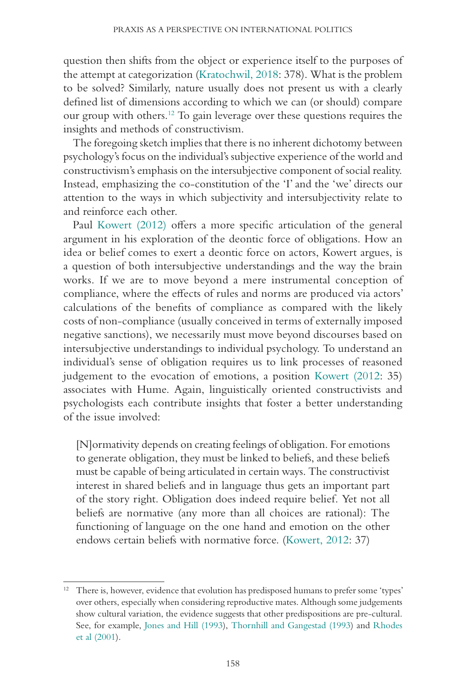question then shifts from the object or experience itself to the purposes of the attempt at categorization (Kratochwil, 2018: 378). What is the problem to be solved? Similarly, nature usually does not present us with a clearly defined list of dimensions according to which we can (or should) compare our group with others.12 To gain leverage over these questions requires the insights and methods of constructivism.

The foregoing sketch implies that there is no inherent dichotomy between psychology's focus on the individual's subjective experience of the world and constructivism's emphasis on the intersubjective component of social reality. Instead, emphasizing the co-constitution of the 'I' and the 'we' directs our attention to the ways in which subjectivity and intersubjectivity relate to and reinforce each other.

Paul Kowert (2012) offers a more specific articulation of the general argument in his exploration of the deontic force of obligations. How an idea or belief comes to exert a deontic force on actors, Kowert argues, is a question of both intersubjective understandings and the way the brain works. If we are to move beyond a mere instrumental conception of compliance, where the effects of rules and norms are produced via actors' calculations of the benefits of compliance as compared with the likely costs of non-compliance (usually conceived in terms of externally imposed negative sanctions), we necessarily must move beyond discourses based on intersubjective understandings to individual psychology. To understand an individual's sense of obligation requires us to link processes of reasoned judgement to the evocation of emotions, a position Kowert (2012: 35) associates with Hume. Again, linguistically oriented constructivists and psychologists each contribute insights that foster a better understanding of the issue involved:

[N]ormativity depends on creating feelings of obligation. For emotions to generate obligation, they must be linked to beliefs, and these beliefs must be capable of being articulated in certain ways. The constructivist interest in shared beliefs and in language thus gets an important part of the story right. Obligation does indeed require belief. Yet not all beliefs are normative (any more than all choices are rational): The functioning of language on the one hand and emotion on the other endows certain beliefs with normative force. (Kowert, 2012: 37)

<sup>12</sup> There is, however, evidence that evolution has predisposed humans to prefer some 'types' over others, especially when considering reproductive mates. Although some judgements show cultural variation, the evidence suggests that other predispositions are pre-cultural. See, for example, Jones and Hill (1993), Thornhill and Gangestad (1993) and Rhodes et al (2001).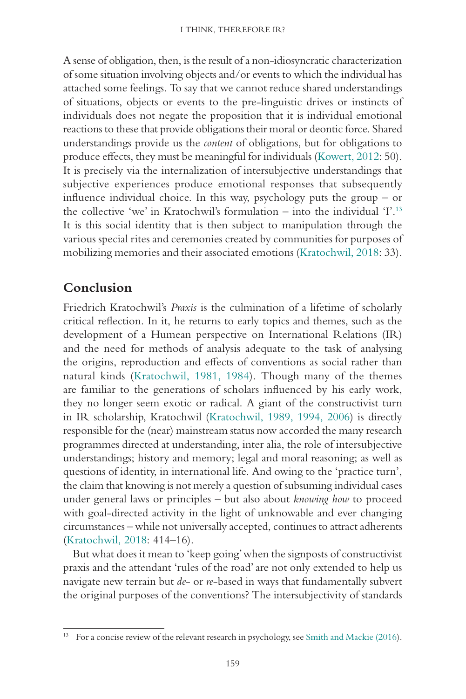A sense of obligation, then, is the result of a non-idiosyncratic characterization of some situation involving objects and/or events to which the individual has attached some feelings. To say that we cannot reduce shared understandings of situations, objects or events to the pre-linguistic drives or instincts of individuals does not negate the proposition that it is individual emotional reactions to these that provide obligations their moral or deontic force. Shared understandings provide us the *content* of obligations, but for obligations to produce effects, they must be meaningful for individuals (Kowert, 2012: 50). It is precisely via the internalization of intersubjective understandings that subjective experiences produce emotional responses that subsequently influence individual choice. In this way, psychology puts the group – or the collective 'we' in Kratochwil's formulation – into the individual 'I'.<sup>13</sup> It is this social identity that is then subject to manipulation through the various special rites and ceremonies created by communities for purposes of mobilizing memories and their associated emotions (Kratochwil, 2018: 33).

## **Conclusion**

Friedrich Kratochwil's *Praxis* is the culmination of a lifetime of scholarly critical reflection. In it, he returns to early topics and themes, such as the development of a Humean perspective on International Relations (IR) and the need for methods of analysis adequate to the task of analysing the origins, reproduction and effects of conventions as social rather than natural kinds (Kratochwil, 1981, 1984). Though many of the themes are familiar to the generations of scholars influenced by his early work, they no longer seem exotic or radical. A giant of the constructivist turn in IR scholarship, Kratochwil (Kratochwil, 1989, 1994, 2006) is directly responsible for the (near) mainstream status now accorded the many research programmes directed at understanding, inter alia, the role of intersubjective understandings; history and memory; legal and moral reasoning; as well as questions of identity, in international life. And owing to the 'practice turn', the claim that knowing is not merely a question of subsuming individual cases under general laws or principles – but also about *knowing how* to proceed with goal-directed activity in the light of unknowable and ever changing circumstances – while not universally accepted, continues to attract adherents (Kratochwil, 2018: 414–16).

But what does it mean to 'keep going' when the signposts of constructivist praxis and the attendant 'rules of the road' are not only extended to help us navigate new terrain but *de*- or *re*-based in ways that fundamentally subvert the original purposes of the conventions? The intersubjectivity of standards

<sup>&</sup>lt;sup>13</sup> For a concise review of the relevant research in psychology, see Smith and Mackie (2016).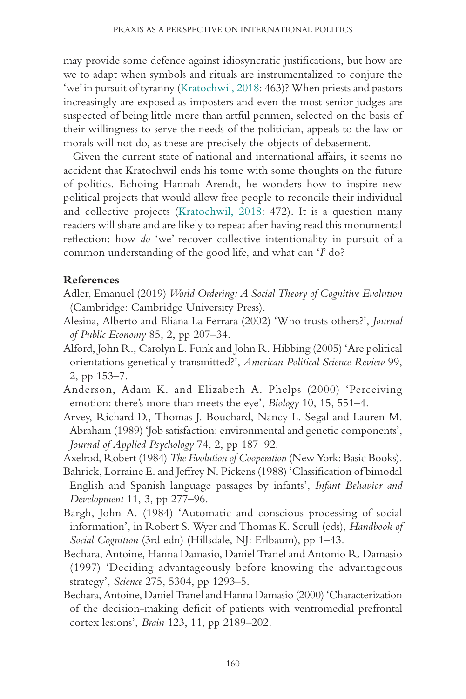may provide some defence against idiosyncratic justifications, but how are we to adapt when symbols and rituals are instrumentalized to conjure the 'we' in pursuit of tyranny (Kratochwil, 2018: 463)? When priests and pastors increasingly are exposed as imposters and even the most senior judges are suspected of being little more than artful penmen, selected on the basis of their willingness to serve the needs of the politician, appeals to the law or morals will not do, as these are precisely the objects of debasement.

Given the current state of national and international affairs, it seems no accident that Kratochwil ends his tome with some thoughts on the future of politics. Echoing Hannah Arendt, he wonders how to inspire new political projects that would allow free people to reconcile their individual and collective projects (Kratochwil, 2018: 472). It is a question many readers will share and are likely to repeat after having read this monumental reflection: how *do* 'we' recover collective intentionality in pursuit of a common understanding of the good life, and what can '*I*' do?

#### **References**

- Adler, Emanuel (2019) *World Ordering: A Social Theory of Cognitive Evolution* (Cambridge: Cambridge University Press).
- Alesina, Alberto and Eliana La Ferrara (2002) 'Who trusts others?', *Journal of Public Economy* 85, 2, pp 207–34.
- Alford, John R., Carolyn L. Funk and John R. Hibbing (2005) 'Are political orientations genetically transmitted?', *American Political Science Review* 99, 2, pp 153–7.
- Anderson, Adam K. and Elizabeth A. Phelps (2000) 'Perceiving emotion: there's more than meets the eye', *Biology* 10, 15, 551–4.
- Arvey, Richard D., Thomas J. Bouchard, Nancy L. Segal and Lauren M. Abraham (1989) 'Job satisfaction: environmental and genetic components', *Journal of Applied Psychology* 74, 2, pp 187–92.
- Axelrod, Robert (1984) *The Evolution of Cooperation* (New York: Basic Books).
- Bahrick, Lorraine E. and Jeffrey N. Pickens (1988) 'Classification of bimodal English and Spanish language passages by infants', *Infant Behavior and Development* 11, 3, pp 277–96.
- Bargh, John A. (1984) 'Automatic and conscious processing of social information', in Robert S. Wyer and Thomas K. Scrull (eds), *Handbook of Social Cognition* (3rd edn) (Hillsdale, NJ: Erlbaum), pp 1–43.
- Bechara, Antoine, Hanna Damasio, Daniel Tranel and Antonio R. Damasio (1997) 'Deciding advantageously before knowing the advantageous strategy', *Science* 275, 5304, pp 1293–5.
- Bechara, Antoine, Daniel Tranel and Hanna Damasio (2000) 'Characterization of the decision-making deficit of patients with ventromedial prefrontal cortex lesions', *Brain* 123, 11, pp 2189–202.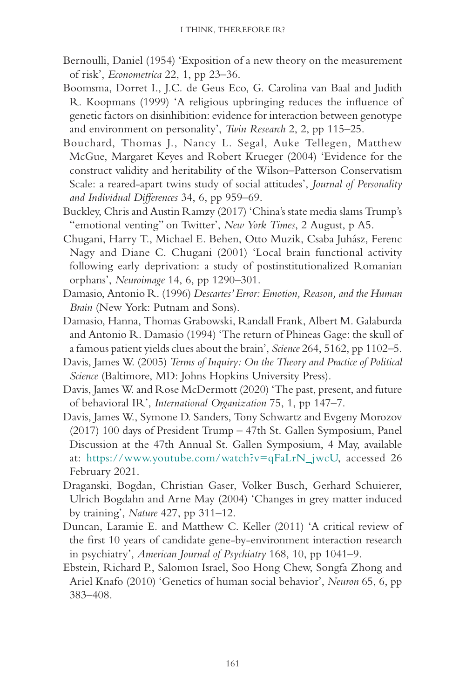- Bernoulli, Daniel (1954) 'Exposition of a new theory on the measurement of risk', *Econometrica* 22, 1, pp 23–36.
- Boomsma, Dorret I., J.C. de Geus Eco, G. Carolina van Baal and Judith R. Koopmans (1999) 'A religious upbringing reduces the influence of genetic factors on disinhibition: evidence for interaction between genotype and environment on personality', *Twin Research* 2, 2, pp 115–25.
- Bouchard, Thomas J., Nancy L. Segal, Auke Tellegen, Matthew McGue, Margaret Keyes and Robert Krueger (2004) 'Evidence for the construct validity and heritability of the Wilson–Patterson Conservatism Scale: a reared-apart twins study of social attitudes', *Journal of Personality and Individual Differences* 34, 6, pp 959–69.
- Buckley, Chris and Austin Ramzy (2017) 'China's state media slams Trump's "emotional venting" on Twitter', *New York Times*, 2 August, p A5.
- Chugani, Harry T., Michael E. Behen, Otto Muzik, Csaba Juhász, Ferenc Nagy and Diane C. Chugani (2001) 'Local brain functional activity following early deprivation: a study of postinstitutionalized Romanian orphans', *Neuroimage* 14, 6, pp 1290–301.
- Damasio, Antonio R. (1996) *Descartes' Error: Emotion, Reason, and the Human Brain* (New York: Putnam and Sons).
- Damasio, Hanna, Thomas Grabowski, Randall Frank, Albert M. Galaburda and Antonio R. Damasio (1994) 'The return of Phineas Gage: the skull of a famous patient yields clues about the brain', *Science* 264, 5162, pp 1102–5.
- Davis, James W. (2005) *Terms of Inquiry: On the Theory and Practice of Political Science* (Baltimore, MD: Johns Hopkins University Press).
- Davis, James W. and Rose McDermott (2020) 'The past, present, and future of behavioral IR', *International Organization* 75, 1, pp 147–7.
- Davis, James W., Symone D. Sanders, Tony Schwartz and Evgeny Morozov (2017) 100 days of President Trump – 47th St. Gallen Symposium, Panel Discussion at the 47th Annual St. Gallen Symposium, 4 May, available at: [https://www.youtube.com/watch?v=qFaLrN\\_jwcU,](https://www.youtube.com/watch?v=qFaLrN_jwcU) accessed 26 February 2021.
- Draganski, Bogdan, Christian Gaser, Volker Busch, Gerhard Schuierer, Ulrich Bogdahn and Arne May (2004) 'Changes in grey matter induced by training', *Nature* 427, pp 311–12.
- Duncan, Laramie E. and Matthew C. Keller (2011) 'A critical review of the first 10 years of candidate gene-by-environment interaction research in psychiatry', *American Journal of Psychiatry* 168, 10, pp 1041–9.
- Ebstein, Richard P., Salomon Israel, Soo Hong Chew, Songfa Zhong and Ariel Knafo (2010) 'Genetics of human social behavior', *Neuron* 65, 6, pp 383–408.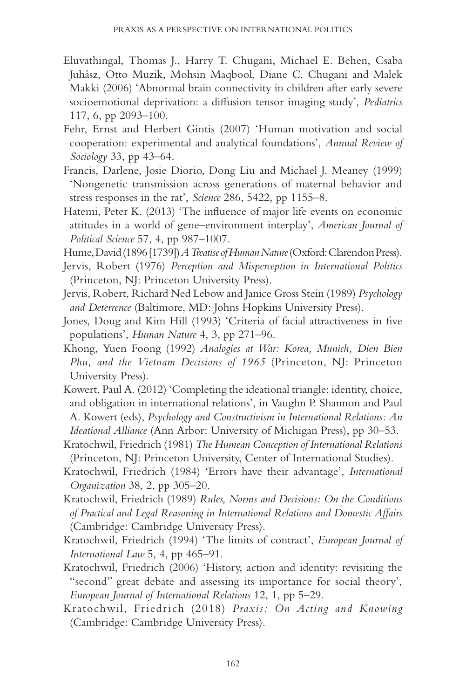- Eluvathingal, Thomas J., Harry T. Chugani, Michael E. Behen, Csaba Juhász, Otto Muzik, Mohsin Maqbool, Diane C. Chugani and Malek Makki (2006) 'Abnormal brain connectivity in children after early severe socioemotional deprivation: a diffusion tensor imaging study', *Pediatrics* 117, 6, pp 2093–100.
- Fehr, Ernst and Herbert Gintis (2007) 'Human motivation and social cooperation: experimental and analytical foundations', *Annual Review of Sociology* 33, pp 43–64.
- Francis, Darlene, Josie Diorio, Dong Liu and Michael J. Meaney (1999) 'Nongenetic transmission across generations of maternal behavior and stress responses in the rat', *Science* 286, 5422, pp 1155–8.
- Hatemi, Peter K. (2013) 'The influence of major life events on economic attitudes in a world of gene–environment interplay', *American Journal of Political Science* 57, 4, pp 987–1007.
- Hume, David (1896 [1739]) *A Treatise of Human Nature* (Oxford: Clarendon Press).
- Jervis, Robert (1976) *Perception and Misperception in International Politics* (Princeton, NJ: Princeton University Press).
- Jervis, Robert, Richard Ned Lebow and Janice Gross Stein (1989) *Psychology and Deterrence* (Baltimore, MD: Johns Hopkins University Press).
- Jones, Doug and Kim Hill (1993) 'Criteria of facial attractiveness in five populations', *Human Nature* 4, 3, pp 271–96.
- Khong, Yuen Foong (1992) *Analogies at War: Korea, Munich, Dien Bien Phu, and the Vietnam Decisions of 1965* (Princeton, NJ: Princeton University Press).
- Kowert, Paul A. (2012) 'Completing the ideational triangle: identity, choice, and obligation in international relations', in Vaughn P. Shannon and Paul A. Kowert (eds), *Psychology and Constructivism in International Relations: An Ideational Alliance* (Ann Arbor: University of Michigan Press), pp 30–53.
- Kratochwil, Friedrich (1981) *The Humean Conception of International Relations* (Princeton, NJ: Princeton University, Center of International Studies).
- Kratochwil, Friedrich (1984) 'Errors have their advantage', *International Organization* 38, 2, pp 305–20.
- Kratochwil, Friedrich (1989) *Rules, Norms and Decisions: On the Conditions of Practical and Legal Reasoning in International Relations and Domestic Affairs* (Cambridge: Cambridge University Press).
- Kratochwil, Friedrich (1994) 'The limits of contract', *European Journal of International Law* 5, 4, pp 465–91.
- Kratochwil, Friedrich (2006) 'History, action and identity: revisiting the "second" great debate and assessing its importance for social theory', *European Journal of International Relations* 12, 1, pp 5–29.
- Kratochwil, Friedrich (2018) *Praxis: On Acting and Knowing* (Cambridge: Cambridge University Press).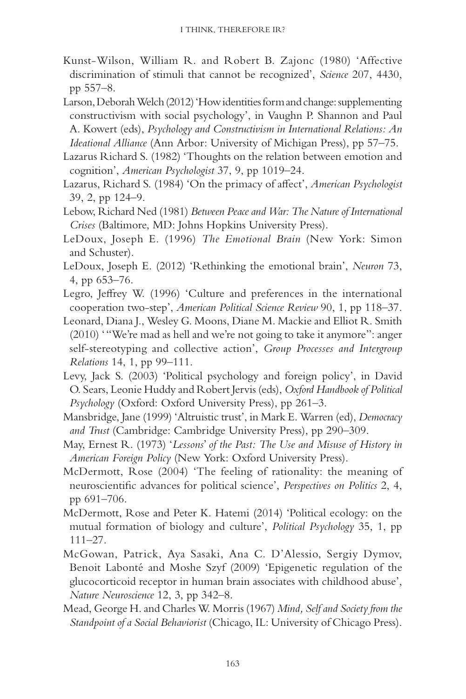- Kunst-Wilson, William R. and Robert B. Zajonc (1980) 'Affective discrimination of stimuli that cannot be recognized', *Science* 207, 4430, pp 557–8.
- Larson, Deborah Welch (2012) 'How identities form and change: supplementing constructivism with social psychology', in Vaughn P. Shannon and Paul A. Kowert (eds), *Psychology and Constructivism in International Relations: An Ideational Alliance* (Ann Arbor: University of Michigan Press), pp 57–75.
- Lazarus Richard S. (1982) 'Thoughts on the relation between emotion and cognition', *American Psychologist* 37, 9, pp 1019–24.
- Lazarus, Richard S. (1984) 'On the primacy of affect', *American Psychologist* 39, 2, pp 124–9.
- Lebow, Richard Ned (1981) *Between Peace and War: The Nature of International Crises* (Baltimore, MD: Johns Hopkins University Press).
- LeDoux, Joseph E. (1996) *The Emotional Brain* (New York: Simon and Schuster).
- LeDoux, Joseph E. (2012) 'Rethinking the emotional brain', *Neuron* 73, 4, pp 653–76.
- Legro, Jeffrey W. (1996) 'Culture and preferences in the international cooperation two-step', *American Political Science Review* 90, 1, pp 118–37.
- Leonard, Diana J., Wesley G. Moons, Diane M. Mackie and Elliot R. Smith (2010) ' "We're mad as hell and we're not going to take it anymore": anger self-stereotyping and collective action', *Group Processes and Intergroup Relations* 14, 1, pp 99–111.
- Levy, Jack S. (2003) 'Political psychology and foreign policy', in David O. Sears, Leonie Huddy and Robert Jervis (eds), *Oxford Handbook of Political Psychology* (Oxford: Oxford University Press), pp 261–3.
- Mansbridge, Jane (1999) 'Altruistic trust', in Mark E. Warren (ed), *Democracy and Trust* (Cambridge: Cambridge University Press), pp 290–309.
- May, Ernest R. (1973) '*Lessons*' *of the Past: The Use and Misuse of History in American Foreign Policy* (New York: Oxford University Press).
- McDermott, Rose (2004) 'The feeling of rationality: the meaning of neuroscientific advances for political science', *Perspectives on Politics* 2, 4, pp 691–706.
- McDermott, Rose and Peter K. Hatemi (2014) 'Political ecology: on the mutual formation of biology and culture', *Political Psychology* 35, 1, pp  $111 - 27$ .
- McGowan, Patrick, Aya Sasaki, Ana C. D'Alessio, Sergiy Dymov, Benoit Labonté and Moshe Szyf (2009) 'Epigenetic regulation of the glucocorticoid receptor in human brain associates with childhood abuse', *Nature Neuroscience* 12, 3, pp 342–8.
- Mead, George H. and Charles W. Morris (1967) *Mind, Self and Society from the Standpoint of a Social Behaviorist* (Chicago, IL: University of Chicago Press).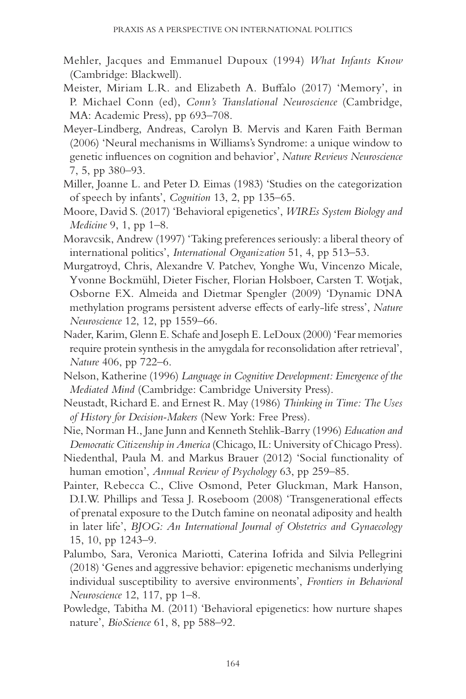- Mehler, Jacques and Emmanuel Dupoux (1994) *What Infants Know* (Cambridge: Blackwell).
- Meister, Miriam L.R. and Elizabeth A. Buffalo (2017) 'Memory', in P. Michael Conn (ed), *Conn's Translational Neuroscience* (Cambridge, MA: Academic Press), pp 693–708.
- Meyer-Lindberg, Andreas, Carolyn B. Mervis and Karen Faith Berman (2006) 'Neural mechanisms in Williams's Syndrome: a unique window to genetic influences on cognition and behavior', *Nature Reviews Neuroscience* 7, 5, pp 380–93.
- Miller, Joanne L. and Peter D. Eimas (1983) 'Studies on the categorization of speech by infants', *Cognition* 13, 2, pp 135–65.
- Moore, David S. (2017) 'Behavioral epigenetics', *WIREs System Biology and Medicine* 9, 1, pp 1–8.
- Moravcsik, Andrew (1997) 'Taking preferences seriously: a liberal theory of international politics', *International Organization* 51, 4, pp 513–53.
- Murgatroyd, Chris, Alexandre V. Patchev, Yonghe Wu, Vincenzo Micale, Yvonne Bockmühl, Dieter Fischer, Florian Holsboer, Carsten T. Wotjak, Osborne F.X. Almeida and Dietmar Spengler (2009) 'Dynamic DNA methylation programs persistent adverse effects of early-life stress', *Nature Neuroscience* 12, 12, pp 1559–66.
- Nader, Karim, Glenn E. Schafe and Joseph E. LeDoux (2000) 'Fear memories require protein synthesis in the amygdala for reconsolidation after retrieval', *Nature* 406, pp 722–6.
- Nelson, Katherine (1996) *Language in Cognitive Development: Emergence of the Mediated Mind* (Cambridge: Cambridge University Press).
- Neustadt, Richard E. and Ernest R. May (1986) *Thinking in Time: The Uses of History for Decision-Makers* (New York: Free Press).
- Nie, Norman H., Jane Junn and Kenneth Stehlik-Barry (1996) *Education and Democratic Citizenship in America* (Chicago, IL: University of Chicago Press).
- Niedenthal, Paula M. and Markus Brauer (2012) 'Social functionality of human emotion', *Annual Review of Psychology* 63, pp 259–85.
- Painter, Rebecca C., Clive Osmond, Peter Gluckman, Mark Hanson, D.I.W. Phillips and Tessa J. Roseboom (2008) 'Transgenerational effects of prenatal exposure to the Dutch famine on neonatal adiposity and health in later life', *BJOG: An International Journal of Obstetrics and Gynaecology* 15, 10, pp 1243–9.
- Palumbo, Sara, Veronica Mariotti, Caterina Iofrida and Silvia Pellegrini (2018) 'Genes and aggressive behavior: epigenetic mechanisms underlying individual susceptibility to aversive environments', *Frontiers in Behavioral Neuroscience* 12, 117, pp 1–8.
- Powledge, Tabitha M. (2011) 'Behavioral epigenetics: how nurture shapes nature', *BioScience* 61, 8, pp 588–92.